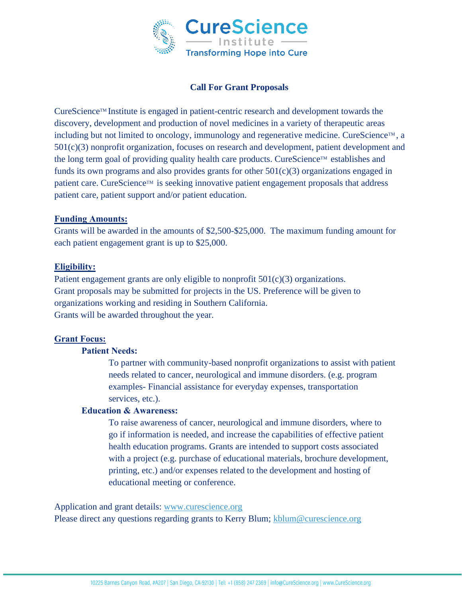

# **Call For Grant Proposals**

CureScienceTM Institute is engaged in patient-centric research and development towards the discovery, development and production of novel medicines in a variety of therapeutic areas including but not limited to oncology, immunology and regenerative medicine. CureScience<sup>TM</sup>, a 501(c)(3) nonprofit organization, focuses on research and development, patient development and the long term goal of providing quality health care products. CureScience<sup>TM</sup> establishes and funds its own programs and also provides grants for other  $501(c)(3)$  organizations engaged in patient care. CureScience™ is seeking innovative patient engagement proposals that address patient care, patient support and/or patient education.

#### **Funding Amounts:**

Grants will be awarded in the amounts of \$2,500-\$25,000. The maximum funding amount for each patient engagement grant is up to \$25,000.

## **Eligibility:**

Patient engagement grants are only eligible to nonprofit  $501(c)(3)$  organizations. Grant proposals may be submitted for projects in the US. Preference will be given to organizations working and residing in Southern California. Grants will be awarded throughout the year.

## **Grant Focus:**

## **Patient Needs:**

To partner with community-based nonprofit organizations to assist with patient needs related to cancer, neurological and immune disorders. (e.g. program examples- Financial assistance for everyday expenses, transportation services, etc.).

# **Education & Awareness:**

To raise awareness of cancer, neurological and immune disorders, where to go if information is needed, and increase the capabilities of effective patient health education programs. Grants are intended to support costs associated with a project (e.g. purchase of educational materials, brochure development, printing, etc.) and/or expenses related to the development and hosting of educational meeting or conference.

Application and grant details: [www.curescience.org](http://www.curescience.org/)

Please direct any questions regarding grants to Kerry Blum; [kblum@curescience.org](mailto:kblum@curescience.org)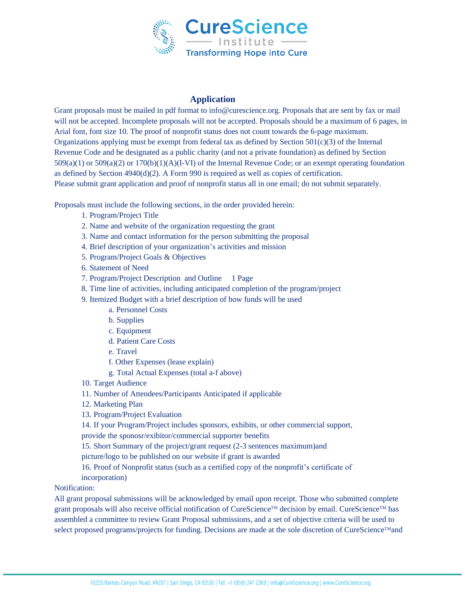

#### **Application**

Grant proposals must be mailed in pdf format to info@curescience.org. Proposals that are sent by fax or mail will not be accepted. Incomplete proposals will not be accepted. Proposals should be a maximum of 6 pages, in Arial font, font size 10. The proof of nonprofit status does not count towards the 6-page maximum. Organizations applying must be exempt from federal tax as defined by Section  $501(c)(3)$  of the Internal Revenue Code and be designated as a public charity (and not a private foundation) as defined by Section 509(a)(1) or 509(a)(2) or 170(b)(1)(A)(I-VI) of the Internal Revenue Code; or an exempt operating foundation as defined by Section  $4940(d)(2)$ . A Form 990 is required as well as copies of certification. Please submit grant application and proof of nonprofit status all in one email; do not submit separately.

Proposals must include the following sections, in the order provided herein:

- 1. Program/Project Title
- 2. Name and website of the organization requesting the grant
- 3. Name and contact information for the person submitting the proposal
- 4. Brief description of your organization's activities and mission
- 5. Program/Project Goals & Objectives
- 6. Statement of Need
- 7. Program/Project Description and Outline 1 Page
- 8. Time line of activities, including anticipated completion of the program/project
- 9. Itemized Budget with a brief description of how funds will be used
	- a. Personnel Costs
	- b. Supplies
	- c. Equipment
	- d. Patient Care Costs
	- e. Travel
	- f. Other Expenses (lease explain)
	- g. Total Actual Expenses (total a-f above)
- 10. Target Audience
- 11. Number of Attendees/Participants Anticipated if applicable
- 12. Marketing Plan
- 13. Program/Project Evaluation
- 14. If your Program/Project includes sponsors, exhibits, or other commercial support,
- provide the sponosr/exibitor/commercial supporter benefits
- 15. Short Summary of the project/grant request (2-3 sentences maximum)and
- picture/logo to be published on our website if grant is awarded
- 16. Proof of Nonprofit status (such as a certified copy of the nonprofit's certificate of
- incorporation)

#### Notification:

All grant proposal submissions will be acknowledged by email upon receipt. Those who submitted complete grant proposals will also receive official notification of CureScience<sup>TM</sup> decision by email. CureScience<sup>TM</sup> has assembled a committee to review Grant Proposal submissions, and a set of objective criteria will be used to select proposed programs/projects for funding. Decisions are made at the sole discretion of CureScience™and